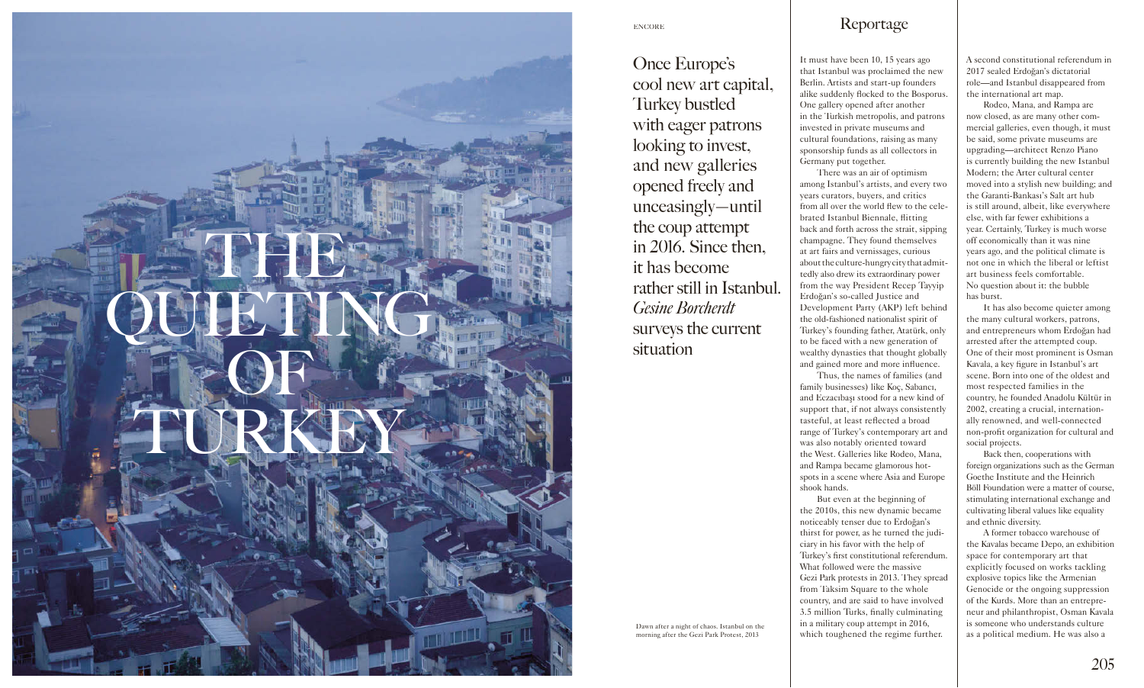

It must have been 10, 15 years ago that Istanbul was proclaimed the new Berlin. Artists and start-up founders alike suddenly flocked to the Bosporus. One gallery opened after another in the Turkish metropolis, and patrons invested in private museums and cultural foundations, raising as many sponsorship funds as all collectors in Germany put together.

There was an air of optimism among Istanbul's artists, and every two years curators, buyers, and critics from all over the world flew to the celebrated Istanbul Biennale, flitting back and forth across the strait, sipping champagne. They found themselves at art fairs and vernissages, curious about the culture-hungry city that admittedly also drew its extraordinary power from the way President Recep Tayyip Erdoğan's so-called Justice and Development Party (AKP) left behind the old-fashioned nationalist spirit of Turkey's founding father, Atatürk, only to be faced with a new generation of wealthy dynasties that thought globally and gained more and more influence.

Thus, the names of families (and family businesses) like Koç, Sabancı, and Eczacıbaşı stood for a new kind of support that, if not always consistently tasteful, at least reflected a broad range of Turkey's contemporary art and was also notably oriented toward the West. Galleries like Rodeo, Mana, and Rampa became glamorous hotspots in a scene where Asia and Europe shook hands.

But even at the beginning of the 2010s, this new dynamic became noticeably tenser due to Erdoğan's thirst for power, as he turned the judiciary in his favor with the help of Turkey's first constitutional referendum. What followed were the massive Gezi Park protests in 2013. They spread from Taksim Square to the whole country, and are said to have involved 3.5 million Turks, finally culminating in a military coup attempt in 2016, which toughened the regime further.

A second constitutional referendum in 2017 sealed Erdoğan's dictatorial role—and Istanbul disappeared from the international art map.

Rodeo, Mana, and Rampa are now closed, as are many other commercial galleries, even though, it must be said, some private museums are upgrading—architect Renzo Piano is currently building the new Istanbul Modern; the Arter cultural center moved into a stylish new building; and the Garanti-Bankası's Salt art hub is still around, albeit, like everywhere else, with far fewer exhibitions a year. Certainly, Turkey is much worse off economically than it was nine years ago, and the political climate is not one in which the liberal or leftist art business feels comfortable. No question about it: the bubble has burst.

It has also become quieter among the many cultural workers, patrons, and entrepreneurs whom Erdoğan had arrested after the attempted coup. One of their most prominent is Osman Kavala, a key figure in Istanbul's art scene. Born into one of the oldest and most respected families in the country, he founded Anadolu Kültür in 2002, creating a crucial, internationally renowned, and well-connected non-profit organization for cultural and social projects.

Back then, cooperations with foreign organizations such as the German Goethe Institute and the Heinrich Böll Foundation were a matter of course, stimulating international exchange and cultivating liberal values like equality and ethnic diversity.

A former tobacco warehouse of the Kavalas became Depo, an exhibition space for contemporary art that explicitly focused on works tackling explosive topics like the Armenian Genocide or the ongoing suppression of the Kurds. More than an entrepreneur and philanthropist, Osman Kavala is someone who understands culture as a political medium. He was also a

Dawn after a night of chaos. Istanbul on the morning after the Gezi Park Protest, 2013

Once Europe's cool new art capital, Turkey bustled with eager patrons looking to invest, and new galleries opened freely and unceasingly—until the coup attempt in 2016. Since then, it has become rather still in Istanbul. *Gesine Borcherdt* surveys the current situation

## Reportage